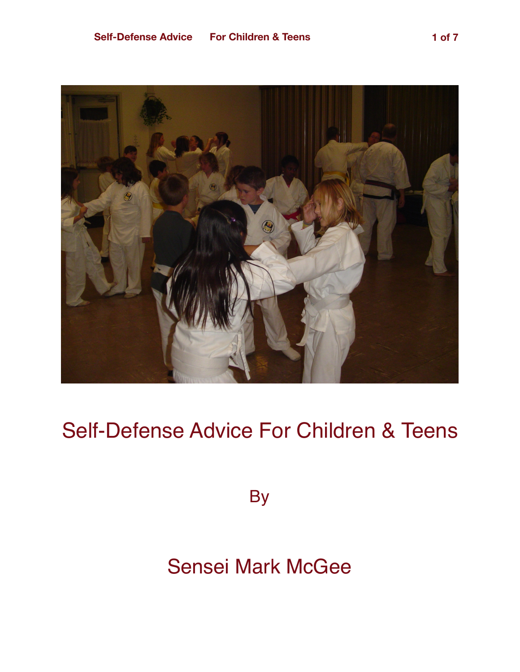

## Self-Defense Advice For Children & Teens

**By** 

## Sensei Mark McGee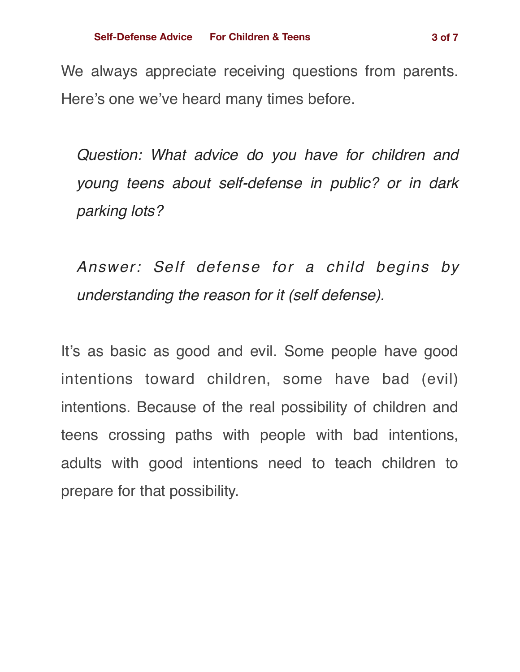We always appreciate receiving questions from parents. Here's one we've heard many times before.

*Question: What advice do you have for children and young teens about self-defense in public? or in dark parking lots?*

*Answer: Self defense for a child begins by understanding the reason for it (self defense).*

It's as basic as good and evil. Some people have good intentions toward children, some have bad (evil) intentions. Because of the real possibility of children and teens crossing paths with people with bad intentions, adults with good intentions need to teach children to prepare for that possibility.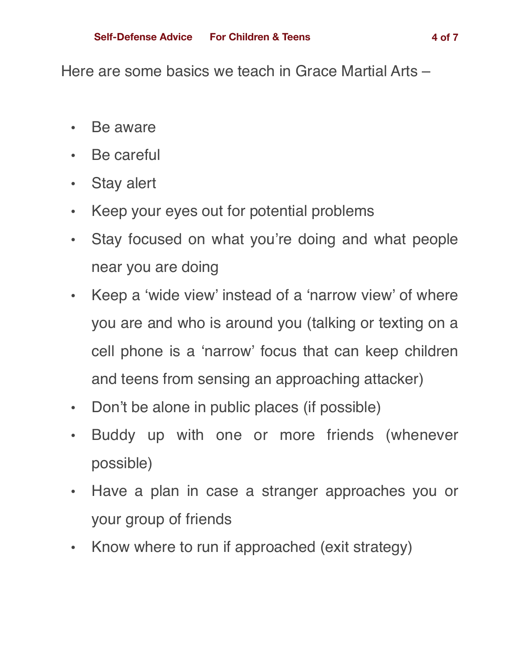Here are some basics we teach in Grace Martial Arts –

- Be aware
- Be careful
- Stay alert
- Keep your eyes out for potential problems
- Stay focused on what you're doing and what people near you are doing
- Keep a 'wide view' instead of a 'narrow view' of where you are and who is around you (talking or texting on a cell phone is a 'narrow' focus that can keep children and teens from sensing an approaching attacker)
- Don't be alone in public places (if possible)
- Buddy up with one or more friends (whenever possible)
- Have a plan in case a stranger approaches you or your group of friends
- Know where to run if approached (exit strategy)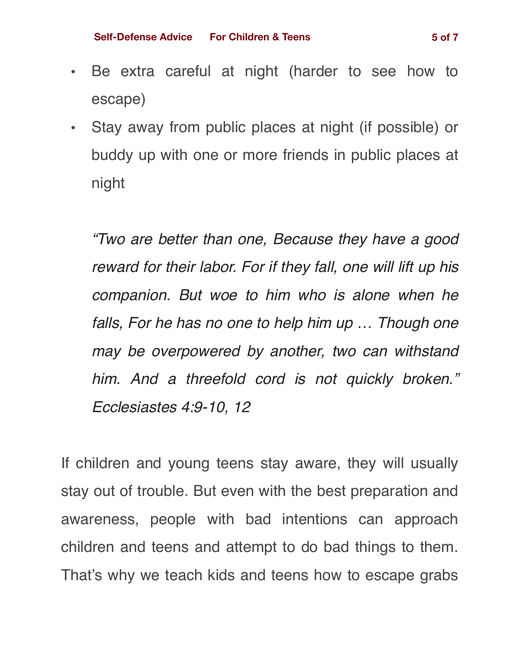- Be extra careful at night (harder to see how to escape)
- Stay away from public places at night (if possible) or buddy up with one or more friends in public places at night

*"Two are better than one, Because they have a good reward for their labor. For if they fall, one will lift up his companion. But woe to him who is alone when he falls, For he has no one to help him up … Though one may be overpowered by another, two can withstand him. And a threefold cord is not quickly broken." Ecclesiastes 4:9-10, 12*

If children and young teens stay aware, they will usually stay out of trouble. But even with the best preparation and awareness, people with bad intentions can approach children and teens and attempt to do bad things to them. That's why we teach kids and teens how to escape grabs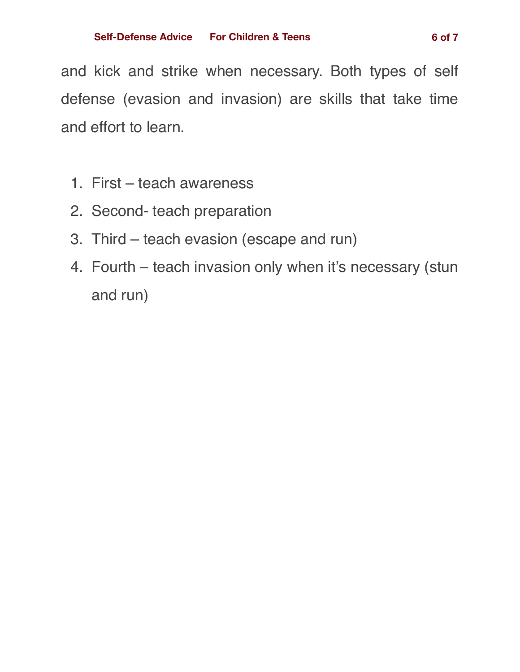and kick and strike when necessary. Both types of self defense (evasion and invasion) are skills that take time and effort to learn.

- 1. First teach awareness
- 2. Second- teach preparation
- 3. Third teach evasion (escape and run)
- 4. Fourth teach invasion only when it's necessary (stun and run)